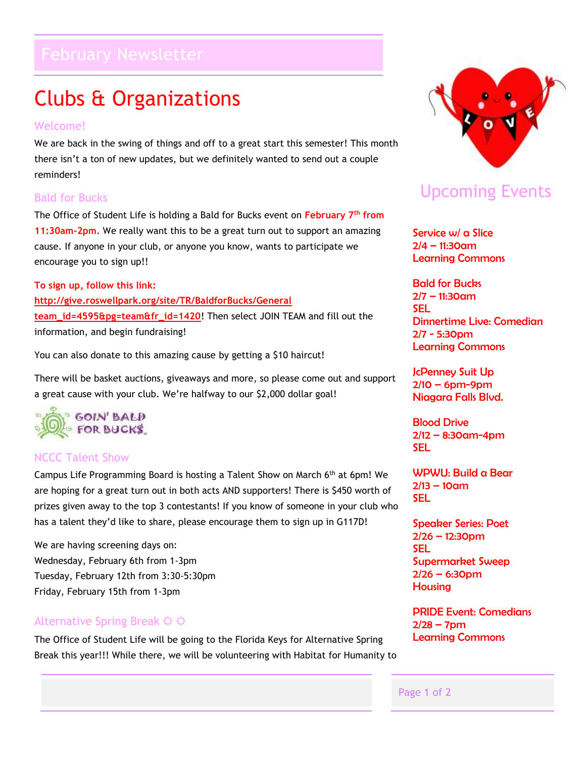# Clubs & Organizations

#### Welcome!

We are back in the swing of things and off to a great start this semester! This month there isn't a ton of new updates, but we definitely wanted to send out a couple reminders!

#### Bald for Bucks

The Office of Student Life is holding a Bald for Bucks event on **February 7th from 11:30am-2pm.** We really want this to be a great turn out to support an amazing cause. If anyone in your club, or anyone you know, wants to participate we encourage you to sign up!!

**To sign up, follow this link: [http://give.roswellpark.org/site/TR/BaldforBucks/General](http://give.roswellpark.org/site/TR/BaldforBucks/General?team_id=4595&pg=team&fr_id=1420)  [team\\_id=4595&pg=team&fr\\_id=1420](http://give.roswellpark.org/site/TR/BaldforBucks/General?team_id=4595&pg=team&fr_id=1420)**! Then select JOIN TEAM and fill out the information, and begin fundraising!

You can also donate to this amazing cause by getting a \$10 haircut!

There will be basket auctions, giveaways and more, so please come out and support a great cause with your club. We're halfway to our \$2,000 dollar goal!



#### NCCC Talent Show

Campus Life Programming Board is hosting a Talent Show on March 6th at 6pm! We are hoping for a great turn out in both acts AND supporters! There is \$450 worth of prizes given away to the top 3 contestants! If you know of someone in your club who has a talent they'd like to share, please encourage them to sign up in G117D!

We are having screening days on: Wednesday, February 6th from 1-3pm Tuesday, February 12th from 3:30-5:30pm Friday, February 15th from 1-3pm

#### Alternative Spring Break  $\varphi \varphi$

The Office of Student Life will be going to the Florida Keys for Alternative Spring Break this year!!! While there, we will be volunteering with Habitat for Humanity to



## Upcoming Events

Service w/ a Slice 2/4 – 11:30am Learning Commons

Bald for Bucks 2/7 – 11:30am SEL Dinnertime Live: Comedian 2/7 - 5:30pm Learning Commons

JcPenney Suit Up  $2/10 - 6$ pm-9pm Niagara Falls Blvd.

Blood Drive  $2/12 - 8:30$ am-4pm SEL

WPWU: Build a Bear  $2/13 - 10$ am SEL

Speaker Series: Poet 2/26 – 12:30pm SEL Supermarket Sweep  $2/26 - 6:30$ pm **Housing** 

PRIDE Event: Comedians  $2/28 - 7$ pm Learning Commons

#### Page 1 of 2